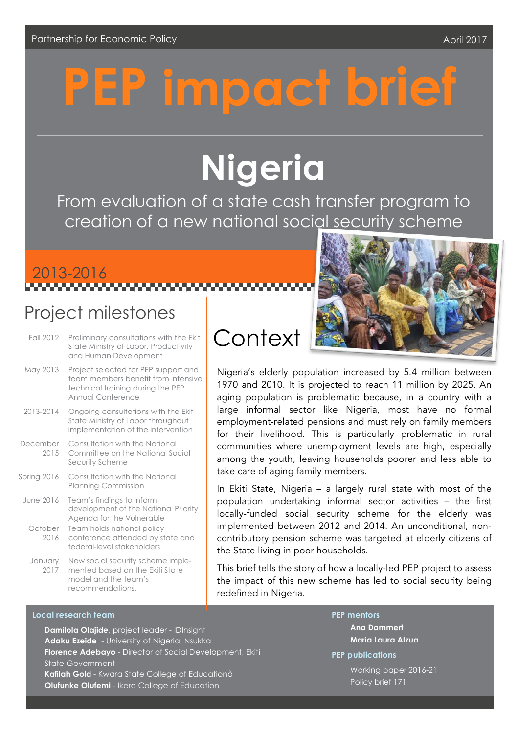# impact brief

# **Nigeria**

From evaluation of a state cash transfer program to creation of a new national social security scheme

# 2013-2016

### Project milestones

| Fall 2012                    | Preliminary consultations with the Ekiti<br>State Ministry of Labor, Productivity<br>and Human Development                                                                                     |
|------------------------------|------------------------------------------------------------------------------------------------------------------------------------------------------------------------------------------------|
| May 2013                     | Project selected for PEP support and<br>team members benefit from intensive<br>technical training during the PEP<br>Annual Conference                                                          |
| 2013-2014                    | Ongoing consultations with the Ekiti<br>State Ministry of Labor throughout<br>implementation of the intervention                                                                               |
| December<br>2015             | Consultation with the National<br>Committee on the National Social<br>Security Scheme                                                                                                          |
| Spring 2016                  | Consultation with the National<br><b>Planning Commission</b>                                                                                                                                   |
| June 2016<br>October<br>2016 | Team's findings to inform<br>development of the National Priority<br>Agenda for the Vulnerable<br>Team holds national policy<br>conference attended by state and<br>federal-level stakeholders |
| January<br>2017              | New social security scheme imple-<br>mented based on the Ekiti State<br>model and the team's                                                                                                   |

Nigeria's elderly population increased by 5.4 million between 1970 and 2010. It is projected to reach 11 million by 2025. An aging population is problematic because, in a country with a large informal sector like Nigeria, most have no formal employment-related pensions and must rely on family members for their livelihood. This is particularly problematic in rural communities where unemployment levels are high, especially among the youth, leaving households poorer and less able to take care of aging family members.

In Ekiti State, Nigeria – a largely rural state with most of the population undertaking informal sector activities – the first locally-funded social security scheme for the elderly was implemented between 2012 and 2014. An unconditional, noncontributory pension scheme was targeted at elderly citizens of the State living in poor households.

This brief tells the story of how a locally-led PEP project to assess the impact of this new scheme has led to social security being redefined in Nigeria.

#### **Local research team**

recommendations.

**Damilola Olajide**, project leader - IDInsight **Adaku Ezeide** - University of Nigeria, Nsukka **Florence Adebayo** - Director of Social Development, Ekiti State Government **Kafilah Gold** - Kwara State College of Educationà **Olufunke Olufemi** - Ikere College of Education

**PEP mentors**

**Ana Dammert Maria Laura Alzua**

### **PEP publications**

Working paper 2016-21 Policy brief 171

## **Context**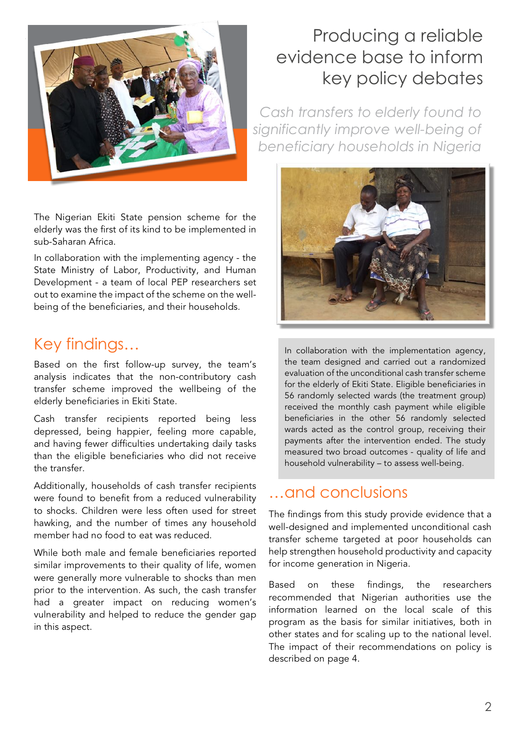

The Nigerian Ekiti State pension scheme for the elderly was the first of its kind to be implemented in sub-Saharan Africa.

In collaboration with the implementing agency - the State Ministry of Labor, Productivity, and Human Development - a team of local PEP researchers set out to examine the impact of the scheme on the wellbeing of the beneficiaries, and their households.

### Key findings…

Based on the first follow-up survey, the team's analysis indicates that the non-contributory cash transfer scheme improved the wellbeing of the elderly beneficiaries in Ekiti State.

Cash transfer recipients reported being less depressed, being happier, feeling more capable, and having fewer difficulties undertaking daily tasks than the eligible beneficiaries who did not receive the transfer.

Additionally, households of cash transfer recipients were found to benefit from a reduced vulnerability to shocks. Children were less often used for street hawking, and the number of times any household member had no food to eat was reduced.

While both male and female beneficiaries reported similar improvements to their quality of life, women were generally more vulnerable to shocks than men prior to the intervention. As such, the cash transfer had a greater impact on reducing women's vulnerability and helped to reduce the gender gap in this aspect.

# evidence base to inform key policy debates

*Cash transfers to elderly found to significantly improve well-being of beneficiary households in Nigeria*



In collaboration with the implementation agency, the team designed and carried out a randomized evaluation of the unconditional cash transfer scheme for the elderly of Ekiti State. Eligible beneficiaries in 56 randomly selected wards (the treatment group) received the monthly cash payment while eligible beneficiaries in the other 56 randomly selected wards acted as the control group, receiving their payments after the intervention ended. The study measured two broad outcomes - quality of life and household vulnerability – to assess well-being.

### …and conclusions

The findings from this study provide evidence that a well-designed and implemented unconditional cash transfer scheme targeted at poor households can help strengthen household productivity and capacity for income generation in Nigeria.

Based on these findings, the researchers recommended that Nigerian authorities use the information learned on the local scale of this program as the basis for similar initiatives, both in other states and for scaling up to the national level. The impact of their recommendations on policy is described on page 4.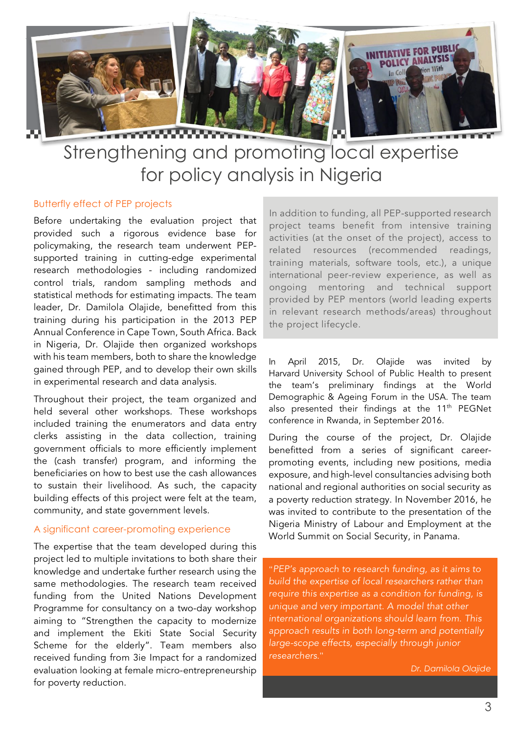

### Strengthening and promoting local expertise for policy analysis in Nigeria

#### Butterfly effect of PEP projects

Before undertaking the evaluation project that provided such a rigorous evidence base for policymaking, the research team underwent PEPsupported training in cutting-edge experimental research methodologies - including randomized control trials, random sampling methods and statistical methods for estimating impacts. The team leader, Dr. Damilola Olajide, benefitted from this training during his participation in the 2013 PEP Annual Conference in Cape Town, South Africa. Back in Nigeria, Dr. Olajide then organized workshops with his team members, both to share the knowledge gained through PEP, and to develop their own skills in experimental research and data analysis.

Throughout their project, the team organized and held several other workshops. These workshops included training the enumerators and data entry clerks assisting in the data collection, training government officials to more efficiently implement the (cash transfer) program, and informing the beneficiaries on how to best use the cash allowances to sustain their livelihood. As such, the capacity building effects of this project were felt at the team, community, and state government levels.

#### A significant career-promoting experience

The expertise that the team developed during this project led to multiple invitations to both share their knowledge and undertake further research using the same methodologies. The research team received funding from the United Nations Development Programme for consultancy on a two-day workshop aiming to "Strengthen the capacity to modernize and implement the Ekiti State Social Security Scheme for the elderly". Team members also received funding from 3ie Impact for a randomized evaluation looking at female micro-entrepreneurship for poverty reduction.

In addition to funding, all PEP-supported research project teams benefit from intensive training activities (at the onset of the project), access to related resources (recommended readings, training materials, software tools, etc.), a unique international peer-review experience, as well as ongoing mentoring and technical support provided by PEP mentors (world leading experts in relevant research methods/areas) throughout the project lifecycle.

In April 2015, Dr. Olajide was invited by Harvard University School of Public Health to present the team's preliminary findings at the World Demographic & Ageing Forum in the USA. The team also presented their findings at the  $11<sup>th</sup>$  PEGNet conference in Rwanda, in September 2016.

During the course of the project, Dr. Olajide benefitted from a series of significant careerpromoting events, including new positions, media exposure, and high-level consultancies advising both national and regional authorities on social security as a poverty reduction strategy. In November 2016, he was invited to contribute to the presentation of the Nigeria Ministry of Labour and Employment at the World Summit on Social Security, in Panama.

*"PEP's approach to research funding, as it aims to build the expertise of local researchers rather than require this expertise as a condition for funding, is unique and very important. A model that other international organizations should learn from. This approach results in both long-term and potentially large-scope effects, especially through junior researchers*."

*Dr. Damilola Olajide*